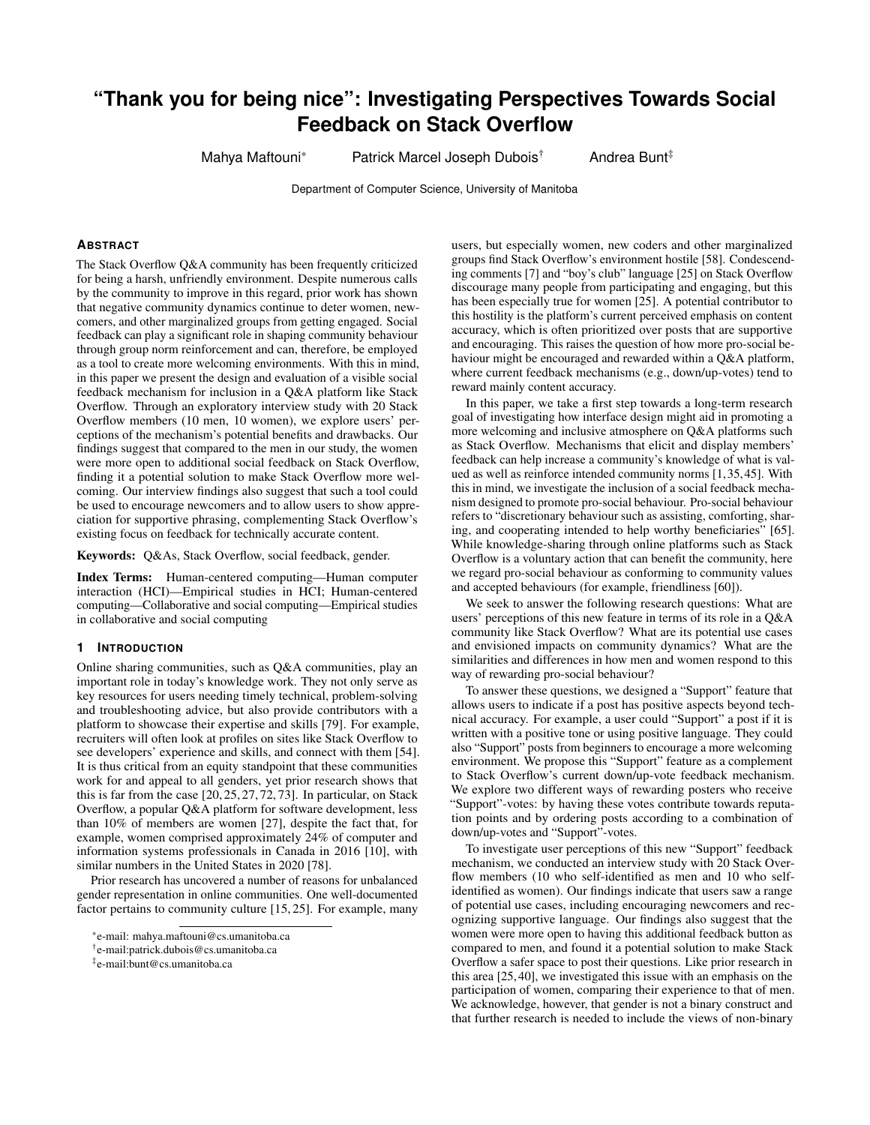# **"Thank you for being nice": Investigating Perspectives Towards Social Feedback on Stack Overflow**

Mahya Maftouni\* Patrick Marcel Joseph Dubois<sup>†</sup> Andrea Bunt<sup>‡</sup>

Department of Computer Science, University of Manitoba

#### **ABSTRACT**

The Stack Overflow Q&A community has been frequently criticized for being a harsh, unfriendly environment. Despite numerous calls by the community to improve in this regard, prior work has shown that negative community dynamics continue to deter women, newcomers, and other marginalized groups from getting engaged. Social feedback can play a significant role in shaping community behaviour through group norm reinforcement and can, therefore, be employed as a tool to create more welcoming environments. With this in mind, in this paper we present the design and evaluation of a visible social feedback mechanism for inclusion in a Q&A platform like Stack Overflow. Through an exploratory interview study with 20 Stack Overflow members (10 men, 10 women), we explore users' perceptions of the mechanism's potential benefits and drawbacks. Our findings suggest that compared to the men in our study, the women were more open to additional social feedback on Stack Overflow, finding it a potential solution to make Stack Overflow more welcoming. Our interview findings also suggest that such a tool could be used to encourage newcomers and to allow users to show appreciation for supportive phrasing, complementing Stack Overflow's existing focus on feedback for technically accurate content.

Keywords: Q&As, Stack Overflow, social feedback, gender.

Index Terms: Human-centered computing—Human computer interaction (HCI)—Empirical studies in HCI; Human-centered computing—Collaborative and social computing—Empirical studies in collaborative and social computing

#### **1 INTRODUCTION**

Online sharing communities, such as Q&A communities, play an important role in today's knowledge work. They not only serve as key resources for users needing timely technical, problem-solving and troubleshooting advice, but also provide contributors with a platform to showcase their expertise and skills [\[79\]](#page-9-0). For example, recruiters will often look at profiles on sites like Stack Overflow to see developers' experience and skills, and connect with them [\[54\]](#page-8-0). It is thus critical from an equity standpoint that these communities work for and appeal to all genders, yet prior research shows that this is far from the case  $[20, 25, 27, 72, 73]$  $[20, 25, 27, 72, 73]$  $[20, 25, 27, 72, 73]$  $[20, 25, 27, 72, 73]$  $[20, 25, 27, 72, 73]$ . In particular, on Stack Overflow, a popular Q&A platform for software development, less than 10% of members are women [\[27\]](#page-8-2), despite the fact that, for example, women comprised approximately 24% of computer and information systems professionals in Canada in 2016 [\[10\]](#page-7-1), with similar numbers in the United States in 2020 [\[78\]](#page-9-3).

Prior research has uncovered a number of reasons for unbalanced gender representation in online communities. One well-documented factor pertains to community culture [\[15,](#page-7-2) [25\]](#page-8-1). For example, many users, but especially women, new coders and other marginalized groups find Stack Overflow's environment hostile [\[58\]](#page-8-3). Condescending comments [\[7\]](#page-7-3) and "boy's club" language [\[25\]](#page-8-1) on Stack Overflow discourage many people from participating and engaging, but this has been especially true for women [\[25\]](#page-8-1). A potential contributor to this hostility is the platform's current perceived emphasis on content accuracy, which is often prioritized over posts that are supportive and encouraging. This raises the question of how more pro-social behaviour might be encouraged and rewarded within a Q&A platform, where current feedback mechanisms (e.g., down/up-votes) tend to reward mainly content accuracy.

In this paper, we take a first step towards a long-term research goal of investigating how interface design might aid in promoting a more welcoming and inclusive atmosphere on Q&A platforms such as Stack Overflow. Mechanisms that elicit and display members' feedback can help increase a community's knowledge of what is valued as well as reinforce intended community norms [\[1,](#page-7-4)[35,](#page-8-4)[45\]](#page-8-5). With this in mind, we investigate the inclusion of a social feedback mechanism designed to promote pro-social behaviour. Pro-social behaviour refers to "discretionary behaviour such as assisting, comforting, sharing, and cooperating intended to help worthy beneficiaries" [\[65\]](#page-9-4). While knowledge-sharing through online platforms such as Stack Overflow is a voluntary action that can benefit the community, here we regard pro-social behaviour as conforming to community values and accepted behaviours (for example, friendliness [\[60\]](#page-9-5)).

We seek to answer the following research questions: What are users' perceptions of this new feature in terms of its role in a Q&A community like Stack Overflow? What are its potential use cases and envisioned impacts on community dynamics? What are the similarities and differences in how men and women respond to this way of rewarding pro-social behaviour?

To answer these questions, we designed a "Support" feature that allows users to indicate if a post has positive aspects beyond technical accuracy. For example, a user could "Support" a post if it is written with a positive tone or using positive language. They could also "Support" posts from beginners to encourage a more welcoming environment. We propose this "Support" feature as a complement to Stack Overflow's current down/up-vote feedback mechanism. We explore two different ways of rewarding posters who receive "Support"-votes: by having these votes contribute towards reputation points and by ordering posts according to a combination of down/up-votes and "Support"-votes.

To investigate user perceptions of this new "Support" feedback mechanism, we conducted an interview study with 20 Stack Overflow members (10 who self-identified as men and 10 who selfidentified as women). Our findings indicate that users saw a range of potential use cases, including encouraging newcomers and recognizing supportive language. Our findings also suggest that the women were more open to having this additional feedback button as compared to men, and found it a potential solution to make Stack Overflow a safer space to post their questions. Like prior research in this area [\[25,](#page-8-1) [40\]](#page-8-6), we investigated this issue with an emphasis on the participation of women, comparing their experience to that of men. We acknowledge, however, that gender is not a binary construct and that further research is needed to include the views of non-binary

<sup>\*</sup>e-mail: mahya.maftouni@cs.umanitoba.ca

<sup>†</sup> e-mail:patrick.dubois@cs.umanitoba.ca

<sup>‡</sup> e-mail:bunt@cs.umanitoba.ca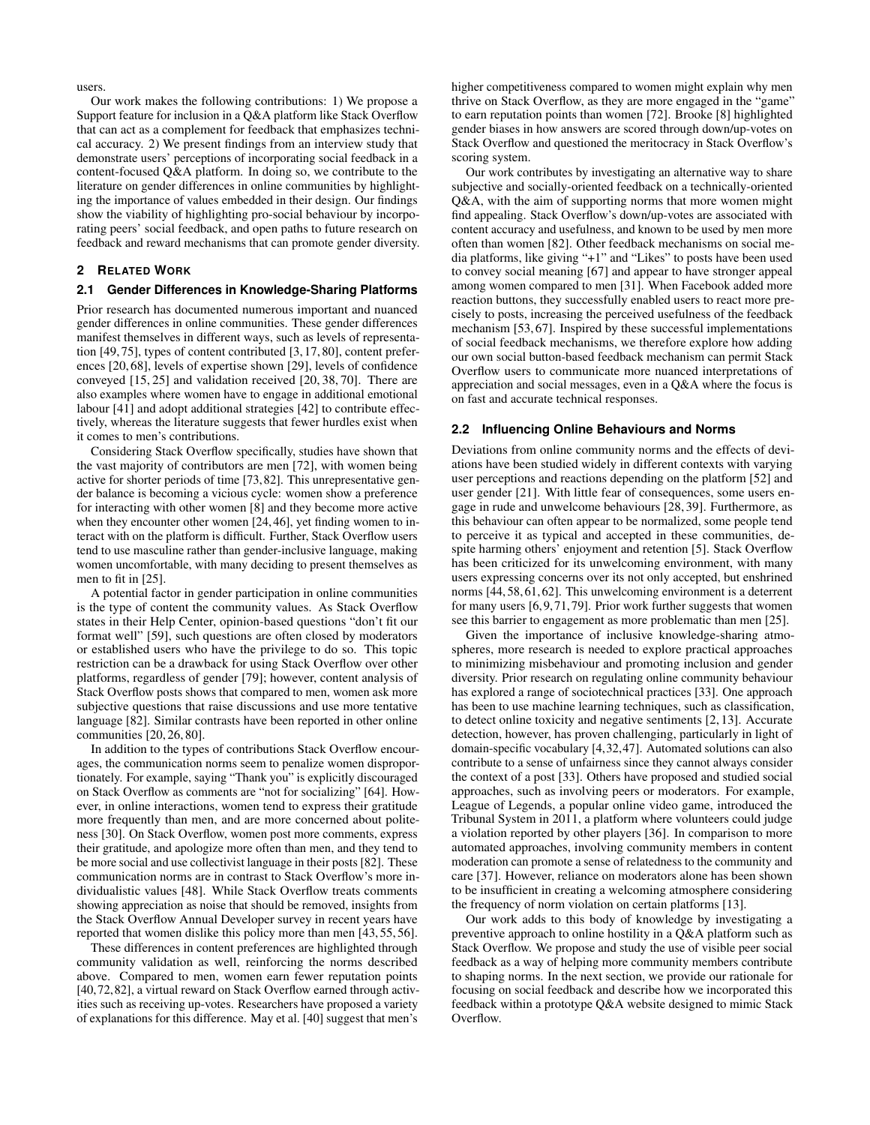users.

Our work makes the following contributions: 1) We propose a Support feature for inclusion in a Q&A platform like Stack Overflow that can act as a complement for feedback that emphasizes technical accuracy. 2) We present findings from an interview study that demonstrate users' perceptions of incorporating social feedback in a content-focused Q&A platform. In doing so, we contribute to the literature on gender differences in online communities by highlighting the importance of values embedded in their design. Our findings show the viability of highlighting pro-social behaviour by incorporating peers' social feedback, and open paths to future research on feedback and reward mechanisms that can promote gender diversity.

## **2 RELATED WORK**

## **2.1 Gender Differences in Knowledge-Sharing Platforms**

Prior research has documented numerous important and nuanced gender differences in online communities. These gender differences manifest themselves in different ways, such as levels of representation [\[49,](#page-8-7) [75\]](#page-9-6), types of content contributed [\[3,](#page-7-5) [17,](#page-7-6) [80\]](#page-9-7), content preferences [\[20,](#page-7-0) [68\]](#page-9-8), levels of expertise shown [\[29\]](#page-8-8), levels of confidence conveyed [\[15,](#page-7-2) [25\]](#page-8-1) and validation received [\[20,](#page-7-0) [38,](#page-8-9) [70\]](#page-9-9). There are also examples where women have to engage in additional emotional labour [\[41\]](#page-8-10) and adopt additional strategies [\[42\]](#page-8-11) to contribute effectively, whereas the literature suggests that fewer hurdles exist when it comes to men's contributions.

Considering Stack Overflow specifically, studies have shown that the vast majority of contributors are men [\[72\]](#page-9-1), with women being active for shorter periods of time [\[73,](#page-9-2)[82\]](#page-9-10). This unrepresentative gender balance is becoming a vicious cycle: women show a preference for interacting with other women [\[8\]](#page-7-7) and they become more active when they encounter other women [\[24,](#page-8-12) [46\]](#page-8-13), yet finding women to interact with on the platform is difficult. Further, Stack Overflow users tend to use masculine rather than gender-inclusive language, making women uncomfortable, with many deciding to present themselves as men to fit in [\[25\]](#page-8-1).

A potential factor in gender participation in online communities is the type of content the community values. As Stack Overflow states in their Help Center, opinion-based questions "don't fit our format well" [\[59\]](#page-8-14), such questions are often closed by moderators or established users who have the privilege to do so. This topic restriction can be a drawback for using Stack Overflow over other platforms, regardless of gender [\[79\]](#page-9-0); however, content analysis of Stack Overflow posts shows that compared to men, women ask more subjective questions that raise discussions and use more tentative language [\[82\]](#page-9-10). Similar contrasts have been reported in other online communities [\[20,](#page-7-0) [26,](#page-8-15) [80\]](#page-9-7).

In addition to the types of contributions Stack Overflow encourages, the communication norms seem to penalize women disproportionately. For example, saying "Thank you" is explicitly discouraged on Stack Overflow as comments are "not for socializing" [\[64\]](#page-9-11). However, in online interactions, women tend to express their gratitude more frequently than men, and are more concerned about politeness [\[30\]](#page-8-16). On Stack Overflow, women post more comments, express their gratitude, and apologize more often than men, and they tend to be more social and use collectivist language in their posts [\[82\]](#page-9-10). These communication norms are in contrast to Stack Overflow's more individualistic values [\[48\]](#page-8-17). While Stack Overflow treats comments showing appreciation as noise that should be removed, insights from the Stack Overflow Annual Developer survey in recent years have reported that women dislike this policy more than men [\[43,](#page-8-18) [55,](#page-8-19) [56\]](#page-8-20).

These differences in content preferences are highlighted through community validation as well, reinforcing the norms described above. Compared to men, women earn fewer reputation points [\[40,](#page-8-6)[72,](#page-9-1)[82\]](#page-9-10), a virtual reward on Stack Overflow earned through activities such as receiving up-votes. Researchers have proposed a variety of explanations for this difference. May et al. [\[40\]](#page-8-6) suggest that men's

higher competitiveness compared to women might explain why men thrive on Stack Overflow, as they are more engaged in the "game" to earn reputation points than women [\[72\]](#page-9-1). Brooke [\[8\]](#page-7-7) highlighted gender biases in how answers are scored through down/up-votes on Stack Overflow and questioned the meritocracy in Stack Overflow's scoring system.

Our work contributes by investigating an alternative way to share subjective and socially-oriented feedback on a technically-oriented Q&A, with the aim of supporting norms that more women might find appealing. Stack Overflow's down/up-votes are associated with content accuracy and usefulness, and known to be used by men more often than women [\[82\]](#page-9-10). Other feedback mechanisms on social media platforms, like giving "+1" and "Likes" to posts have been used to convey social meaning [\[67\]](#page-9-12) and appear to have stronger appeal among women compared to men [\[31\]](#page-8-21). When Facebook added more reaction buttons, they successfully enabled users to react more precisely to posts, increasing the perceived usefulness of the feedback mechanism [\[53,](#page-8-22) [67\]](#page-9-12). Inspired by these successful implementations of social feedback mechanisms, we therefore explore how adding our own social button-based feedback mechanism can permit Stack Overflow users to communicate more nuanced interpretations of appreciation and social messages, even in a Q&A where the focus is on fast and accurate technical responses.

#### **2.2 Influencing Online Behaviours and Norms**

Deviations from online community norms and the effects of deviations have been studied widely in different contexts with varying user perceptions and reactions depending on the platform [\[52\]](#page-8-23) and user gender [\[21\]](#page-7-8). With little fear of consequences, some users engage in rude and unwelcome behaviours [\[28,](#page-8-24) [39\]](#page-8-25). Furthermore, as this behaviour can often appear to be normalized, some people tend to perceive it as typical and accepted in these communities, despite harming others' enjoyment and retention [\[5\]](#page-7-9). Stack Overflow has been criticized for its unwelcoming environment, with many users expressing concerns over its not only accepted, but enshrined norms [\[44,](#page-8-26) [58,](#page-8-3) [61,](#page-9-13) [62\]](#page-9-14). This unwelcoming environment is a deterrent for many users [\[6,](#page-7-10)[9,](#page-7-11)[71,](#page-9-15)[79\]](#page-9-0). Prior work further suggests that women see this barrier to engagement as more problematic than men [\[25\]](#page-8-1).

Given the importance of inclusive knowledge-sharing atmospheres, more research is needed to explore practical approaches to minimizing misbehaviour and promoting inclusion and gender diversity. Prior research on regulating online community behaviour has explored a range of sociotechnical practices [\[33\]](#page-8-27). One approach has been to use machine learning techniques, such as classification, to detect online toxicity and negative sentiments [\[2,](#page-7-12) [13\]](#page-7-13). Accurate detection, however, has proven challenging, particularly in light of domain-specific vocabulary [\[4,](#page-7-14)[32,](#page-8-28)[47\]](#page-8-29). Automated solutions can also contribute to a sense of unfairness since they cannot always consider the context of a post [\[33\]](#page-8-27). Others have proposed and studied social approaches, such as involving peers or moderators. For example, League of Legends, a popular online video game, introduced the Tribunal System in 2011, a platform where volunteers could judge a violation reported by other players [\[36\]](#page-8-30). In comparison to more automated approaches, involving community members in content moderation can promote a sense of relatedness to the community and care [\[37\]](#page-8-31). However, reliance on moderators alone has been shown to be insufficient in creating a welcoming atmosphere considering the frequency of norm violation on certain platforms [\[13\]](#page-7-13).

Our work adds to this body of knowledge by investigating a preventive approach to online hostility in a Q&A platform such as Stack Overflow. We propose and study the use of visible peer social feedback as a way of helping more community members contribute to shaping norms. In the next section, we provide our rationale for focusing on social feedback and describe how we incorporated this feedback within a prototype Q&A website designed to mimic Stack Overflow.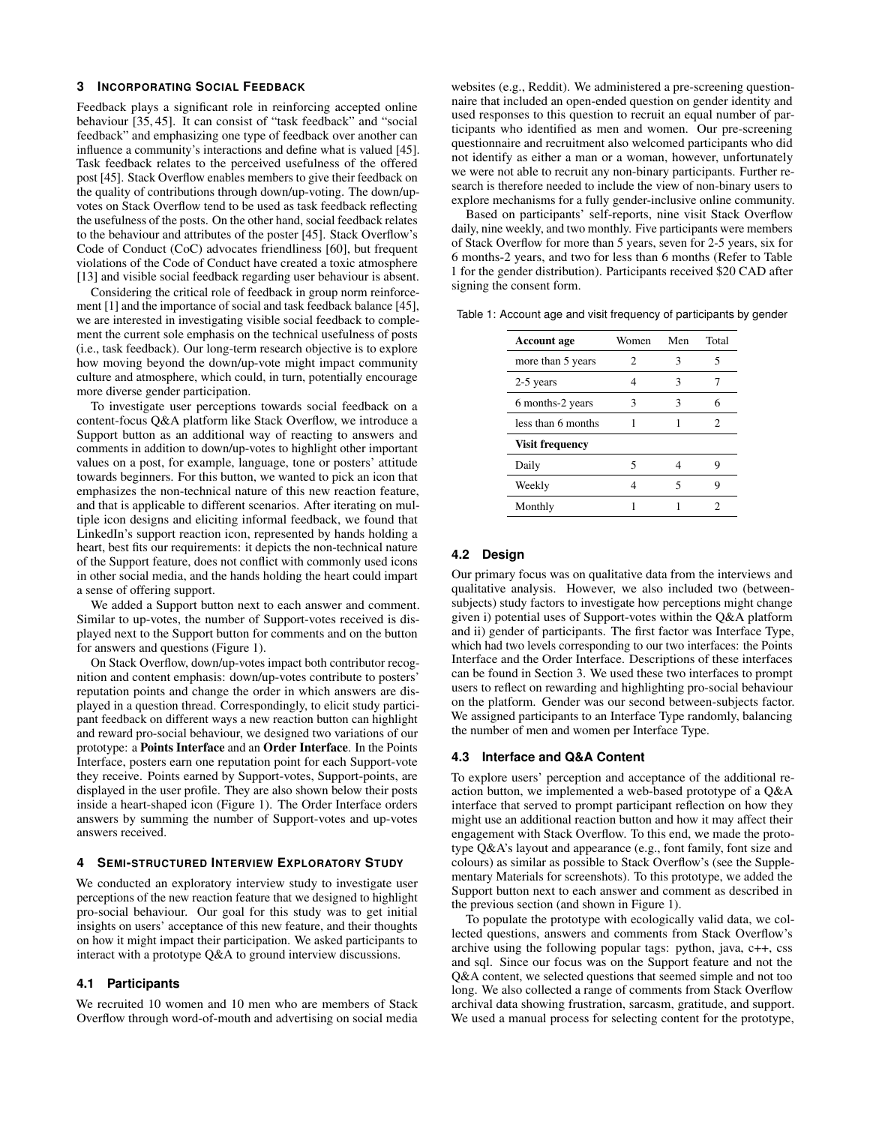# <span id="page-2-1"></span>**3 INCORPORATING SOCIAL FEEDBACK**

Feedback plays a significant role in reinforcing accepted online behaviour [\[35,](#page-8-4) [45\]](#page-8-5). It can consist of "task feedback" and "social feedback" and emphasizing one type of feedback over another can influence a community's interactions and define what is valued [\[45\]](#page-8-5). Task feedback relates to the perceived usefulness of the offered post [\[45\]](#page-8-5). Stack Overflow enables members to give their feedback on the quality of contributions through down/up-voting. The down/upvotes on Stack Overflow tend to be used as task feedback reflecting the usefulness of the posts. On the other hand, social feedback relates to the behaviour and attributes of the poster [\[45\]](#page-8-5). Stack Overflow's Code of Conduct (CoC) advocates friendliness [\[60\]](#page-9-5), but frequent violations of the Code of Conduct have created a toxic atmosphere [\[13\]](#page-7-13) and visible social feedback regarding user behaviour is absent.

Considering the critical role of feedback in group norm reinforcement [\[1\]](#page-7-4) and the importance of social and task feedback balance [\[45\]](#page-8-5), we are interested in investigating visible social feedback to complement the current sole emphasis on the technical usefulness of posts (i.e., task feedback). Our long-term research objective is to explore how moving beyond the down/up-vote might impact community culture and atmosphere, which could, in turn, potentially encourage more diverse gender participation.

To investigate user perceptions towards social feedback on a content-focus Q&A platform like Stack Overflow, we introduce a Support button as an additional way of reacting to answers and comments in addition to down/up-votes to highlight other important values on a post, for example, language, tone or posters' attitude towards beginners. For this button, we wanted to pick an icon that emphasizes the non-technical nature of this new reaction feature, and that is applicable to different scenarios. After iterating on multiple icon designs and eliciting informal feedback, we found that LinkedIn's support reaction icon, represented by hands holding a heart, best fits our requirements: it depicts the non-technical nature of the Support feature, does not conflict with commonly used icons in other social media, and the hands holding the heart could impart a sense of offering support.

We added a Support button next to each answer and comment. Similar to up-votes, the number of Support-votes received is displayed next to the Support button for comments and on the button for answers and questions (Figure [1\)](#page-3-0).

On Stack Overflow, down/up-votes impact both contributor recognition and content emphasis: down/up-votes contribute to posters' reputation points and change the order in which answers are displayed in a question thread. Correspondingly, to elicit study participant feedback on different ways a new reaction button can highlight and reward pro-social behaviour, we designed two variations of our prototype: a Points Interface and an Order Interface. In the Points Interface, posters earn one reputation point for each Support-vote they receive. Points earned by Support-votes, Support-points, are displayed in the user profile. They are also shown below their posts inside a heart-shaped icon (Figure [1\)](#page-3-0). The Order Interface orders answers by summing the number of Support-votes and up-votes answers received.

#### **4 SEMI-STRUCTURED INTERVIEW EXPLORATORY STUDY**

We conducted an exploratory interview study to investigate user perceptions of the new reaction feature that we designed to highlight pro-social behaviour. Our goal for this study was to get initial insights on users' acceptance of this new feature, and their thoughts on how it might impact their participation. We asked participants to interact with a prototype Q&A to ground interview discussions.

# **4.1 Participants**

We recruited 10 women and 10 men who are members of Stack Overflow through word-of-mouth and advertising on social media websites (e.g., Reddit). We administered a pre-screening questionnaire that included an open-ended question on gender identity and used responses to this question to recruit an equal number of participants who identified as men and women. Our pre-screening questionnaire and recruitment also welcomed participants who did not identify as either a man or a woman, however, unfortunately we were not able to recruit any non-binary participants. Further research is therefore needed to include the view of non-binary users to explore mechanisms for a fully gender-inclusive online community.

Based on participants' self-reports, nine visit Stack Overflow daily, nine weekly, and two monthly. Five participants were members of Stack Overflow for more than 5 years, seven for 2-5 years, six for 6 months-2 years, and two for less than 6 months (Refer to Table [1](#page-2-0) for the gender distribution). Participants received \$20 CAD after signing the consent form.

<span id="page-2-0"></span>

| <b>Account age</b>     | Women | Men | Total |  |
|------------------------|-------|-----|-------|--|
| more than 5 years      | 2     |     | 5     |  |
| 2-5 years              | 4     | 3   |       |  |
| 6 months-2 years       | 3     | 3   | 6     |  |
| less than 6 months     |       |     | 2     |  |
| <b>Visit frequency</b> |       |     |       |  |
| Daily                  | 5     |     | Q     |  |
| Weekly                 |       | 5   | 9     |  |
| Monthly                |       |     |       |  |

Table 1: Account age and visit frequency of participants by gender

# **4.2 Design**

Our primary focus was on qualitative data from the interviews and qualitative analysis. However, we also included two (betweensubjects) study factors to investigate how perceptions might change given i) potential uses of Support-votes within the Q&A platform and ii) gender of participants. The first factor was Interface Type, which had two levels corresponding to our two interfaces: the Points Interface and the Order Interface. Descriptions of these interfaces can be found in Section [3.](#page-2-1) We used these two interfaces to prompt users to reflect on rewarding and highlighting pro-social behaviour on the platform. Gender was our second between-subjects factor. We assigned participants to an Interface Type randomly, balancing the number of men and women per Interface Type.

## **4.3 Interface and Q&A Content**

To explore users' perception and acceptance of the additional reaction button, we implemented a web-based prototype of a Q&A interface that served to prompt participant reflection on how they might use an additional reaction button and how it may affect their engagement with Stack Overflow. To this end, we made the prototype Q&A's layout and appearance (e.g., font family, font size and colours) as similar as possible to Stack Overflow's (see the Supplementary Materials for screenshots). To this prototype, we added the Support button next to each answer and comment as described in the previous section (and shown in Figure [1\)](#page-3-0).

To populate the prototype with ecologically valid data, we collected questions, answers and comments from Stack Overflow's archive using the following popular tags: python, java, c++, css and sql. Since our focus was on the Support feature and not the Q&A content, we selected questions that seemed simple and not too long. We also collected a range of comments from Stack Overflow archival data showing frustration, sarcasm, gratitude, and support. We used a manual process for selecting content for the prototype,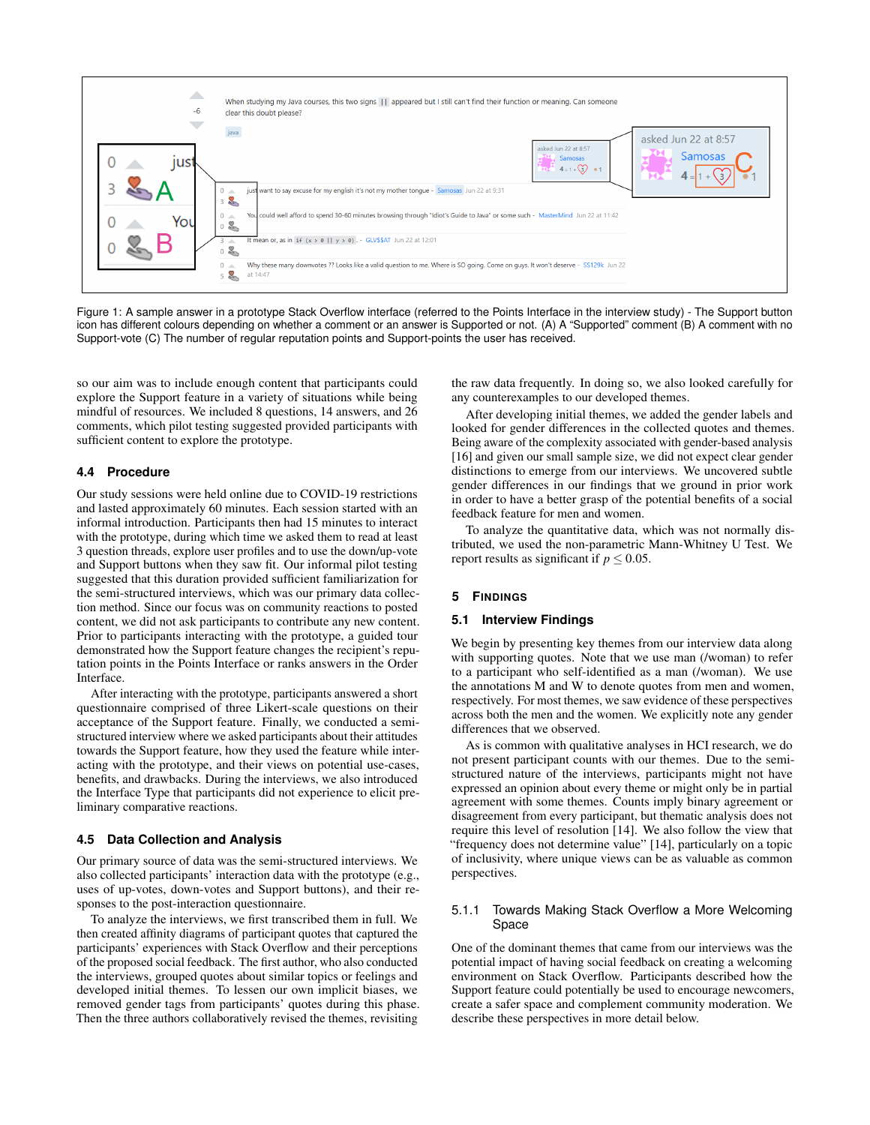

<span id="page-3-0"></span>Figure 1: A sample answer in a prototype Stack Overflow interface (referred to the Points Interface in the interview study) - The Support button icon has different colours depending on whether a comment or an answer is Supported or not. (A) A "Supported" comment (B) A comment with no Support-vote (C) The number of regular reputation points and Support-points the user has received.

so our aim was to include enough content that participants could explore the Support feature in a variety of situations while being mindful of resources. We included 8 questions, 14 answers, and 26 comments, which pilot testing suggested provided participants with sufficient content to explore the prototype.

## **4.4 Procedure**

Our study sessions were held online due to COVID-19 restrictions and lasted approximately 60 minutes. Each session started with an informal introduction. Participants then had 15 minutes to interact with the prototype, during which time we asked them to read at least 3 question threads, explore user profiles and to use the down/up-vote and Support buttons when they saw fit. Our informal pilot testing suggested that this duration provided sufficient familiarization for the semi-structured interviews, which was our primary data collection method. Since our focus was on community reactions to posted content, we did not ask participants to contribute any new content. Prior to participants interacting with the prototype, a guided tour demonstrated how the Support feature changes the recipient's reputation points in the Points Interface or ranks answers in the Order Interface.

After interacting with the prototype, participants answered a short questionnaire comprised of three Likert-scale questions on their acceptance of the Support feature. Finally, we conducted a semistructured interview where we asked participants about their attitudes towards the Support feature, how they used the feature while interacting with the prototype, and their views on potential use-cases, benefits, and drawbacks. During the interviews, we also introduced the Interface Type that participants did not experience to elicit preliminary comparative reactions.

#### **4.5 Data Collection and Analysis**

Our primary source of data was the semi-structured interviews. We also collected participants' interaction data with the prototype (e.g., uses of up-votes, down-votes and Support buttons), and their responses to the post-interaction questionnaire.

To analyze the interviews, we first transcribed them in full. We then created affinity diagrams of participant quotes that captured the participants' experiences with Stack Overflow and their perceptions of the proposed social feedback. The first author, who also conducted the interviews, grouped quotes about similar topics or feelings and developed initial themes. To lessen our own implicit biases, we removed gender tags from participants' quotes during this phase. Then the three authors collaboratively revised the themes, revisiting

the raw data frequently. In doing so, we also looked carefully for any counterexamples to our developed themes.

After developing initial themes, we added the gender labels and looked for gender differences in the collected quotes and themes. Being aware of the complexity associated with gender-based analysis [\[16\]](#page-7-15) and given our small sample size, we did not expect clear gender distinctions to emerge from our interviews. We uncovered subtle gender differences in our findings that we ground in prior work in order to have a better grasp of the potential benefits of a social feedback feature for men and women.

To analyze the quantitative data, which was not normally distributed, we used the non-parametric Mann-Whitney U Test. We report results as significant if  $p \leq 0.05$ .

## **5 FINDINGS**

#### **5.1 Interview Findings**

We begin by presenting key themes from our interview data along with supporting quotes. Note that we use man (/woman) to refer to a participant who self-identified as a man (/woman). We use the annotations M and W to denote quotes from men and women, respectively. For most themes, we saw evidence of these perspectives across both the men and the women. We explicitly note any gender differences that we observed.

As is common with qualitative analyses in HCI research, we do not present participant counts with our themes. Due to the semistructured nature of the interviews, participants might not have expressed an opinion about every theme or might only be in partial agreement with some themes. Counts imply binary agreement or disagreement from every participant, but thematic analysis does not require this level of resolution [\[14\]](#page-7-16). We also follow the view that "frequency does not determine value" [\[14\]](#page-7-16), particularly on a topic of inclusivity, where unique views can be as valuable as common perspectives.

## 5.1.1 Towards Making Stack Overflow a More Welcoming Space

One of the dominant themes that came from our interviews was the potential impact of having social feedback on creating a welcoming environment on Stack Overflow. Participants described how the Support feature could potentially be used to encourage newcomers, create a safer space and complement community moderation. We describe these perspectives in more detail below.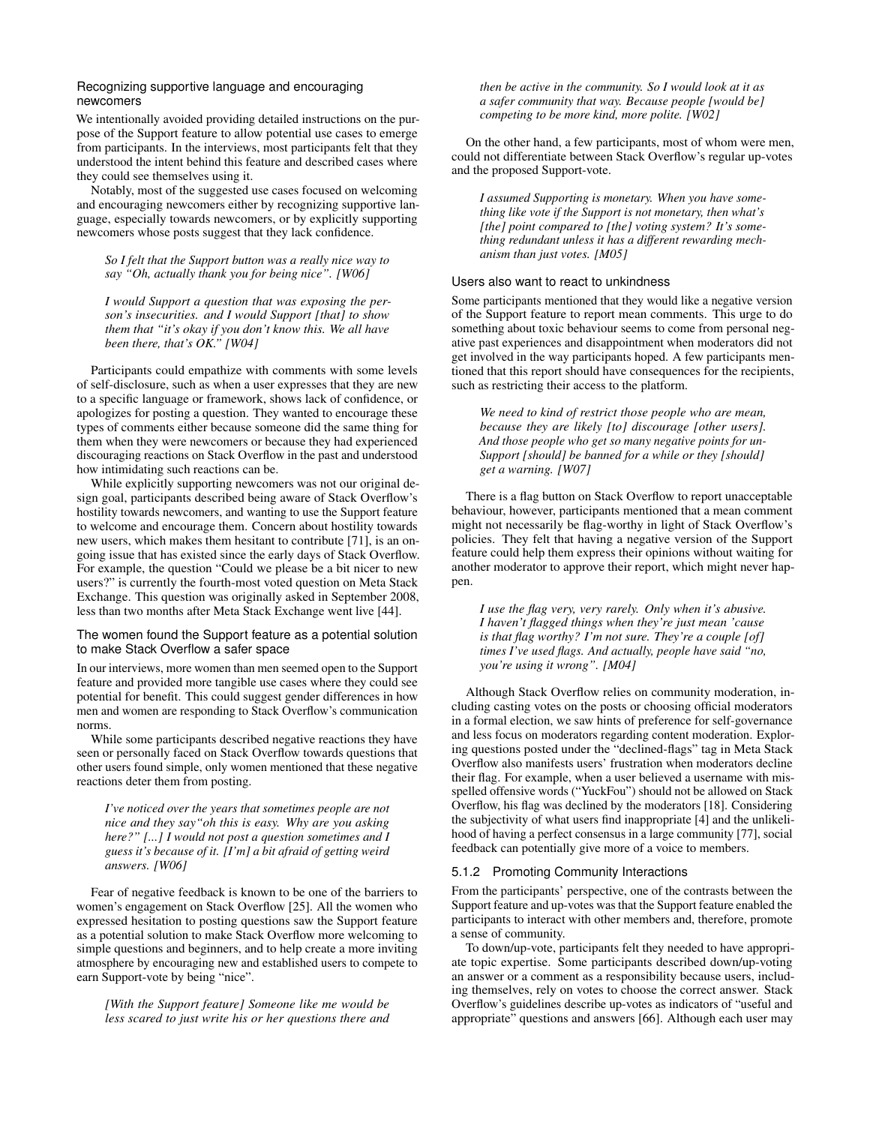## Recognizing supportive language and encouraging newcomers

We intentionally avoided providing detailed instructions on the purpose of the Support feature to allow potential use cases to emerge from participants. In the interviews, most participants felt that they understood the intent behind this feature and described cases where they could see themselves using it.

Notably, most of the suggested use cases focused on welcoming and encouraging newcomers either by recognizing supportive language, especially towards newcomers, or by explicitly supporting newcomers whose posts suggest that they lack confidence.

## *So I felt that the Support button was a really nice way to say "Oh, actually thank you for being nice". [W06]*

*I would Support a question that was exposing the person's insecurities. and I would Support [that] to show them that "it's okay if you don't know this. We all have been there, that's OK." [W04]*

Participants could empathize with comments with some levels of self-disclosure, such as when a user expresses that they are new to a specific language or framework, shows lack of confidence, or apologizes for posting a question. They wanted to encourage these types of comments either because someone did the same thing for them when they were newcomers or because they had experienced discouraging reactions on Stack Overflow in the past and understood how intimidating such reactions can be.

While explicitly supporting newcomers was not our original design goal, participants described being aware of Stack Overflow's hostility towards newcomers, and wanting to use the Support feature to welcome and encourage them. Concern about hostility towards new users, which makes them hesitant to contribute [\[71\]](#page-9-15), is an ongoing issue that has existed since the early days of Stack Overflow. For example, the question "Could we please be a bit nicer to new users?" is currently the fourth-most voted question on Meta Stack Exchange. This question was originally asked in September 2008, less than two months after Meta Stack Exchange went live [\[44\]](#page-8-26).

# The women found the Support feature as a potential solution to make Stack Overflow a safer space

In our interviews, more women than men seemed open to the Support feature and provided more tangible use cases where they could see potential for benefit. This could suggest gender differences in how men and women are responding to Stack Overflow's communication norms.

While some participants described negative reactions they have seen or personally faced on Stack Overflow towards questions that other users found simple, only women mentioned that these negative reactions deter them from posting.

*I've noticed over the years that sometimes people are not nice and they say"oh this is easy. Why are you asking here?" [...] I would not post a question sometimes and I guess it's because of it. [I'm] a bit afraid of getting weird answers. [W06]*

Fear of negative feedback is known to be one of the barriers to women's engagement on Stack Overflow [\[25\]](#page-8-1). All the women who expressed hesitation to posting questions saw the Support feature as a potential solution to make Stack Overflow more welcoming to simple questions and beginners, and to help create a more inviting atmosphere by encouraging new and established users to compete to earn Support-vote by being "nice".

*[With the Support feature] Someone like me would be less scared to just write his or her questions there and* *then be active in the community. So I would look at it as a safer community that way. Because people [would be] competing to be more kind, more polite. [W02]*

On the other hand, a few participants, most of whom were men, could not differentiate between Stack Overflow's regular up-votes and the proposed Support-vote.

*I assumed Supporting is monetary. When you have something like vote if the Support is not monetary, then what's [the] point compared to [the] voting system? It's something redundant unless it has a different rewarding mechanism than just votes. [M05]*

## Users also want to react to unkindness

Some participants mentioned that they would like a negative version of the Support feature to report mean comments. This urge to do something about toxic behaviour seems to come from personal negative past experiences and disappointment when moderators did not get involved in the way participants hoped. A few participants mentioned that this report should have consequences for the recipients, such as restricting their access to the platform.

*We need to kind of restrict those people who are mean, because they are likely [to] discourage [other users]. And those people who get so many negative points for un-Support [should] be banned for a while or they [should] get a warning. [W07]*

There is a flag button on Stack Overflow to report unacceptable behaviour, however, participants mentioned that a mean comment might not necessarily be flag-worthy in light of Stack Overflow's policies. They felt that having a negative version of the Support feature could help them express their opinions without waiting for another moderator to approve their report, which might never happen.

*I use the flag very, very rarely. Only when it's abusive. I haven't flagged things when they're just mean 'cause is that flag worthy? I'm not sure. They're a couple [of] times I've used flags. And actually, people have said "no, you're using it wrong". [M04]*

Although Stack Overflow relies on community moderation, including casting votes on the posts or choosing official moderators in a formal election, we saw hints of preference for self-governance and less focus on moderators regarding content moderation. Exploring questions posted under the "declined-flags" tag in Meta Stack Overflow also manifests users' frustration when moderators decline their flag. For example, when a user believed a username with misspelled offensive words ("YuckFou") should not be allowed on Stack Overflow, his flag was declined by the moderators [\[18\]](#page-7-17). Considering the subjectivity of what users find inappropriate [\[4\]](#page-7-14) and the unlikelihood of having a perfect consensus in a large community [\[77\]](#page-9-16), social feedback can potentially give more of a voice to members.

#### 5.1.2 Promoting Community Interactions

From the participants' perspective, one of the contrasts between the Support feature and up-votes was that the Support feature enabled the participants to interact with other members and, therefore, promote a sense of community.

To down/up-vote, participants felt they needed to have appropriate topic expertise. Some participants described down/up-voting an answer or a comment as a responsibility because users, including themselves, rely on votes to choose the correct answer. Stack Overflow's guidelines describe up-votes as indicators of "useful and appropriate" questions and answers [\[66\]](#page-9-17). Although each user may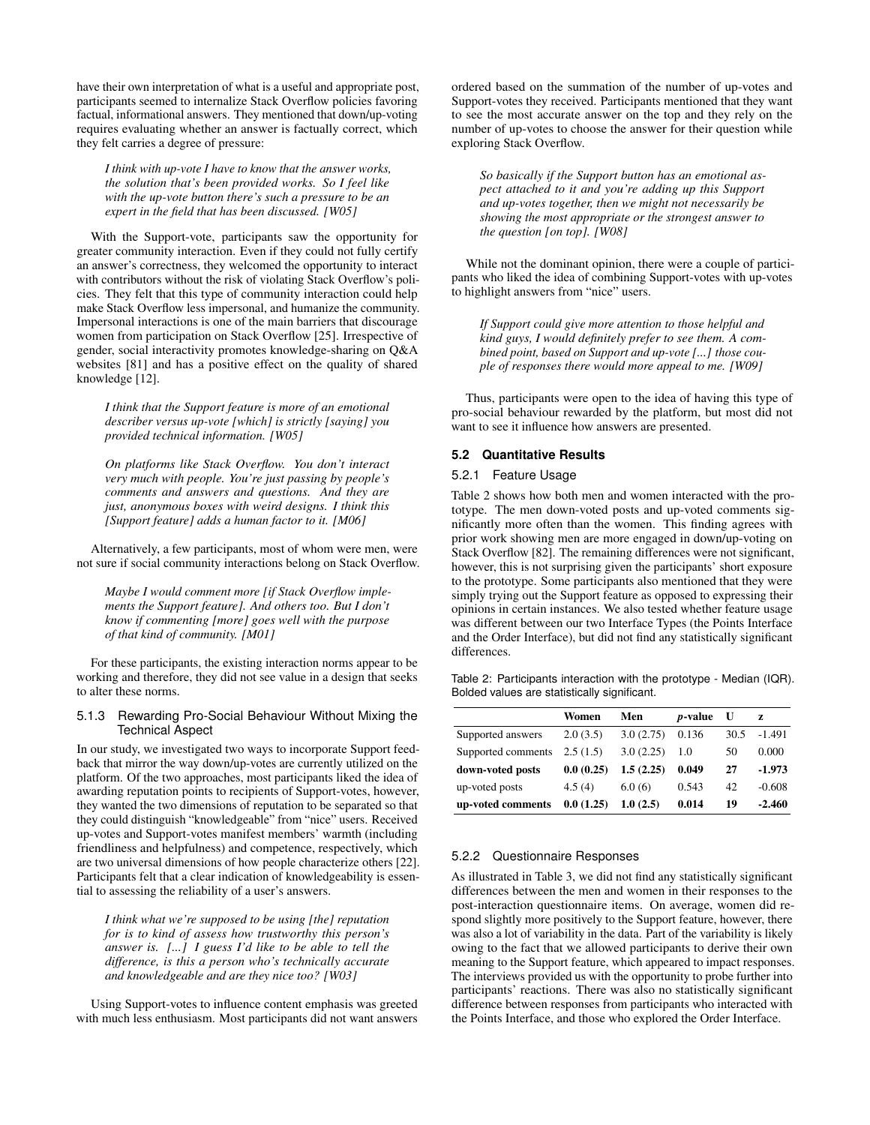have their own interpretation of what is a useful and appropriate post, participants seemed to internalize Stack Overflow policies favoring factual, informational answers. They mentioned that down/up-voting requires evaluating whether an answer is factually correct, which they felt carries a degree of pressure:

*I think with up-vote I have to know that the answer works, the solution that's been provided works. So I feel like with the up-vote button there's such a pressure to be an expert in the field that has been discussed. [W05]*

With the Support-vote, participants saw the opportunity for greater community interaction. Even if they could not fully certify an answer's correctness, they welcomed the opportunity to interact with contributors without the risk of violating Stack Overflow's policies. They felt that this type of community interaction could help make Stack Overflow less impersonal, and humanize the community. Impersonal interactions is one of the main barriers that discourage women from participation on Stack Overflow [\[25\]](#page-8-1). Irrespective of gender, social interactivity promotes knowledge-sharing on Q&A websites [\[81\]](#page-9-18) and has a positive effect on the quality of shared knowledge [\[12\]](#page-7-18).

*I think that the Support feature is more of an emotional describer versus up-vote [which] is strictly [saying] you provided technical information. [W05]*

*On platforms like Stack Overflow. You don't interact very much with people. You're just passing by people's comments and answers and questions. And they are just, anonymous boxes with weird designs. I think this [Support feature] adds a human factor to it. [M06]*

Alternatively, a few participants, most of whom were men, were not sure if social community interactions belong on Stack Overflow.

*Maybe I would comment more [if Stack Overflow implements the Support feature]. And others too. But I don't know if commenting [more] goes well with the purpose of that kind of community. [M01]*

For these participants, the existing interaction norms appear to be working and therefore, they did not see value in a design that seeks to alter these norms.

## 5.1.3 Rewarding Pro-Social Behaviour Without Mixing the Technical Aspect

In our study, we investigated two ways to incorporate Support feedback that mirror the way down/up-votes are currently utilized on the platform. Of the two approaches, most participants liked the idea of awarding reputation points to recipients of Support-votes, however, they wanted the two dimensions of reputation to be separated so that they could distinguish "knowledgeable" from "nice" users. Received up-votes and Support-votes manifest members' warmth (including friendliness and helpfulness) and competence, respectively, which are two universal dimensions of how people characterize others [\[22\]](#page-7-19). Participants felt that a clear indication of knowledgeability is essential to assessing the reliability of a user's answers.

*I think what we're supposed to be using [the] reputation for is to kind of assess how trustworthy this person's answer is. [...] I guess I'd like to be able to tell the difference, is this a person who's technically accurate and knowledgeable and are they nice too? [W03]*

Using Support-votes to influence content emphasis was greeted with much less enthusiasm. Most participants did not want answers ordered based on the summation of the number of up-votes and Support-votes they received. Participants mentioned that they want to see the most accurate answer on the top and they rely on the number of up-votes to choose the answer for their question while exploring Stack Overflow.

*So basically if the Support button has an emotional aspect attached to it and you're adding up this Support and up-votes together, then we might not necessarily be showing the most appropriate or the strongest answer to the question [on top]. [W08]*

While not the dominant opinion, there were a couple of participants who liked the idea of combining Support-votes with up-votes to highlight answers from "nice" users.

*If Support could give more attention to those helpful and kind guys, I would definitely prefer to see them. A combined point, based on Support and up-vote [...] those couple of responses there would more appeal to me. [W09]*

Thus, participants were open to the idea of having this type of pro-social behaviour rewarded by the platform, but most did not want to see it influence how answers are presented.

## **5.2 Quantitative Results**

# 5.2.1 Feature Usage

Table [2](#page-5-0) shows how both men and women interacted with the prototype. The men down-voted posts and up-voted comments significantly more often than the women. This finding agrees with prior work showing men are more engaged in down/up-voting on Stack Overflow [\[82\]](#page-9-10). The remaining differences were not significant, however, this is not surprising given the participants' short exposure to the prototype. Some participants also mentioned that they were simply trying out the Support feature as opposed to expressing their opinions in certain instances. We also tested whether feature usage was different between our two Interface Types (the Points Interface and the Order Interface), but did not find any statistically significant differences.

<span id="page-5-0"></span>Table 2: Participants interaction with the prototype - Median (IQR). Bolded values are statistically significant.

|                    | Women     | Men       | <i>p</i> -value | U    | Z        |
|--------------------|-----------|-----------|-----------------|------|----------|
| Supported answers  | 2.0(3.5)  | 3.0(2.75) | 0.136           | 30.5 | $-1.491$ |
| Supported comments | 2.5(1.5)  | 3.0(2.25) | 1.0             | 50   | 0.000    |
| down-voted posts   | 0.0(0.25) | 1.5(2.25) | 0.049           | 27   | $-1.973$ |
| up-voted posts     | 4.5(4)    | 6.0(6)    | 0.543           | 42   | $-0.608$ |
| up-voted comments  | 0.0(1.25) | 1.0(2.5)  | 0.014           | 19   | $-2.460$ |

## 5.2.2 Questionnaire Responses

As illustrated in Table [3,](#page-6-0) we did not find any statistically significant differences between the men and women in their responses to the post-interaction questionnaire items. On average, women did respond slightly more positively to the Support feature, however, there was also a lot of variability in the data. Part of the variability is likely owing to the fact that we allowed participants to derive their own meaning to the Support feature, which appeared to impact responses. The interviews provided us with the opportunity to probe further into participants' reactions. There was also no statistically significant difference between responses from participants who interacted with the Points Interface, and those who explored the Order Interface.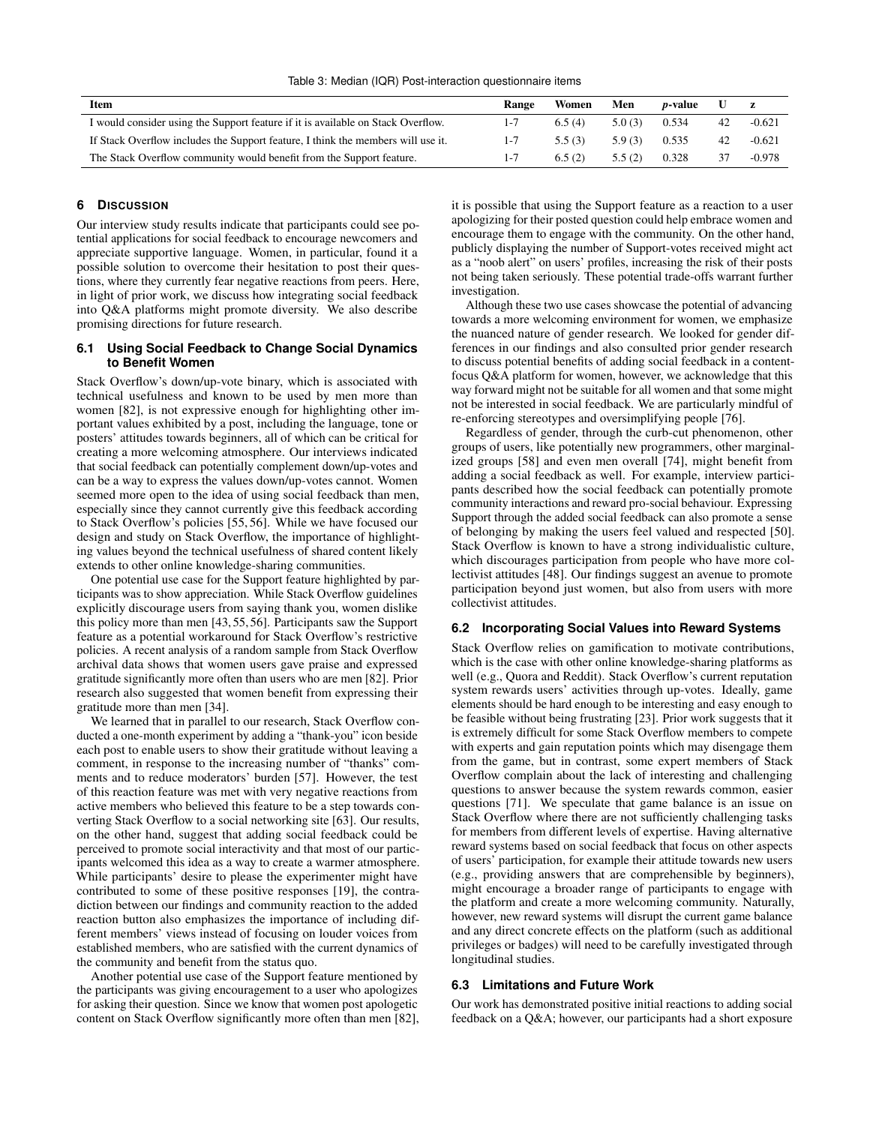<span id="page-6-0"></span>Table 3: Median (IQR) Post-interaction questionnaire items

| Item                                                                             |         | Women  | Men    | <i>p</i> -value | U  |          |
|----------------------------------------------------------------------------------|---------|--------|--------|-----------------|----|----------|
| I would consider using the Support feature if it is available on Stack Overflow. | $1 - 7$ | 6.5(4) | 5.0(3) | 0.534           | 42 | $-0.621$ |
| If Stack Overflow includes the Support feature, I think the members will use it. |         | 5.5(3) | 5.9(3) | 0.535           | 42 | $-0.621$ |
| The Stack Overflow community would benefit from the Support feature.             |         | 6.5(2) | 5.5(2) | 0.328           | 37 | $-0.978$ |

## **6 DISCUSSION**

Our interview study results indicate that participants could see potential applications for social feedback to encourage newcomers and appreciate supportive language. Women, in particular, found it a possible solution to overcome their hesitation to post their questions, where they currently fear negative reactions from peers. Here, in light of prior work, we discuss how integrating social feedback into Q&A platforms might promote diversity. We also describe promising directions for future research.

#### **6.1 Using Social Feedback to Change Social Dynamics to Benefit Women**

Stack Overflow's down/up-vote binary, which is associated with technical usefulness and known to be used by men more than women [\[82\]](#page-9-10), is not expressive enough for highlighting other important values exhibited by a post, including the language, tone or posters' attitudes towards beginners, all of which can be critical for creating a more welcoming atmosphere. Our interviews indicated that social feedback can potentially complement down/up-votes and can be a way to express the values down/up-votes cannot. Women seemed more open to the idea of using social feedback than men, especially since they cannot currently give this feedback according to Stack Overflow's policies [\[55,](#page-8-19) [56\]](#page-8-20). While we have focused our design and study on Stack Overflow, the importance of highlighting values beyond the technical usefulness of shared content likely extends to other online knowledge-sharing communities.

One potential use case for the Support feature highlighted by participants was to show appreciation. While Stack Overflow guidelines explicitly discourage users from saying thank you, women dislike this policy more than men [\[43,](#page-8-18) [55,](#page-8-19) [56\]](#page-8-20). Participants saw the Support feature as a potential workaround for Stack Overflow's restrictive policies. A recent analysis of a random sample from Stack Overflow archival data shows that women users gave praise and expressed gratitude significantly more often than users who are men [\[82\]](#page-9-10). Prior research also suggested that women benefit from expressing their gratitude more than men [\[34\]](#page-8-32).

We learned that in parallel to our research, Stack Overflow conducted a one-month experiment by adding a "thank-you" icon beside each post to enable users to show their gratitude without leaving a comment, in response to the increasing number of "thanks" comments and to reduce moderators' burden [\[57\]](#page-8-33). However, the test of this reaction feature was met with very negative reactions from active members who believed this feature to be a step towards converting Stack Overflow to a social networking site [\[63\]](#page-9-19). Our results, on the other hand, suggest that adding social feedback could be perceived to promote social interactivity and that most of our participants welcomed this idea as a way to create a warmer atmosphere. While participants' desire to please the experimenter might have contributed to some of these positive responses [\[19\]](#page-7-20), the contradiction between our findings and community reaction to the added reaction button also emphasizes the importance of including different members' views instead of focusing on louder voices from established members, who are satisfied with the current dynamics of the community and benefit from the status quo.

Another potential use case of the Support feature mentioned by the participants was giving encouragement to a user who apologizes for asking their question. Since we know that women post apologetic content on Stack Overflow significantly more often than men [\[82\]](#page-9-10), it is possible that using the Support feature as a reaction to a user apologizing for their posted question could help embrace women and encourage them to engage with the community. On the other hand, publicly displaying the number of Support-votes received might act as a "noob alert" on users' profiles, increasing the risk of their posts not being taken seriously. These potential trade-offs warrant further investigation.

Although these two use cases showcase the potential of advancing towards a more welcoming environment for women, we emphasize the nuanced nature of gender research. We looked for gender differences in our findings and also consulted prior gender research to discuss potential benefits of adding social feedback in a contentfocus Q&A platform for women, however, we acknowledge that this way forward might not be suitable for all women and that some might not be interested in social feedback. We are particularly mindful of re-enforcing stereotypes and oversimplifying people [\[76\]](#page-9-20).

Regardless of gender, through the curb-cut phenomenon, other groups of users, like potentially new programmers, other marginalized groups [\[58\]](#page-8-3) and even men overall [\[74\]](#page-9-21), might benefit from adding a social feedback as well. For example, interview participants described how the social feedback can potentially promote community interactions and reward pro-social behaviour. Expressing Support through the added social feedback can also promote a sense of belonging by making the users feel valued and respected [\[50\]](#page-8-34). Stack Overflow is known to have a strong individualistic culture, which discourages participation from people who have more collectivist attitudes [\[48\]](#page-8-17). Our findings suggest an avenue to promote participation beyond just women, but also from users with more collectivist attitudes.

#### **6.2 Incorporating Social Values into Reward Systems**

Stack Overflow relies on gamification to motivate contributions, which is the case with other online knowledge-sharing platforms as well (e.g., Quora and Reddit). Stack Overflow's current reputation system rewards users' activities through up-votes. Ideally, game elements should be hard enough to be interesting and easy enough to be feasible without being frustrating [\[23\]](#page-7-21). Prior work suggests that it is extremely difficult for some Stack Overflow members to compete with experts and gain reputation points which may disengage them from the game, but in contrast, some expert members of Stack Overflow complain about the lack of interesting and challenging questions to answer because the system rewards common, easier questions [\[71\]](#page-9-15). We speculate that game balance is an issue on Stack Overflow where there are not sufficiently challenging tasks for members from different levels of expertise. Having alternative reward systems based on social feedback that focus on other aspects of users' participation, for example their attitude towards new users (e.g., providing answers that are comprehensible by beginners), might encourage a broader range of participants to engage with the platform and create a more welcoming community. Naturally, however, new reward systems will disrupt the current game balance and any direct concrete effects on the platform (such as additional privileges or badges) will need to be carefully investigated through longitudinal studies.

#### **6.3 Limitations and Future Work**

Our work has demonstrated positive initial reactions to adding social feedback on a Q&A; however, our participants had a short exposure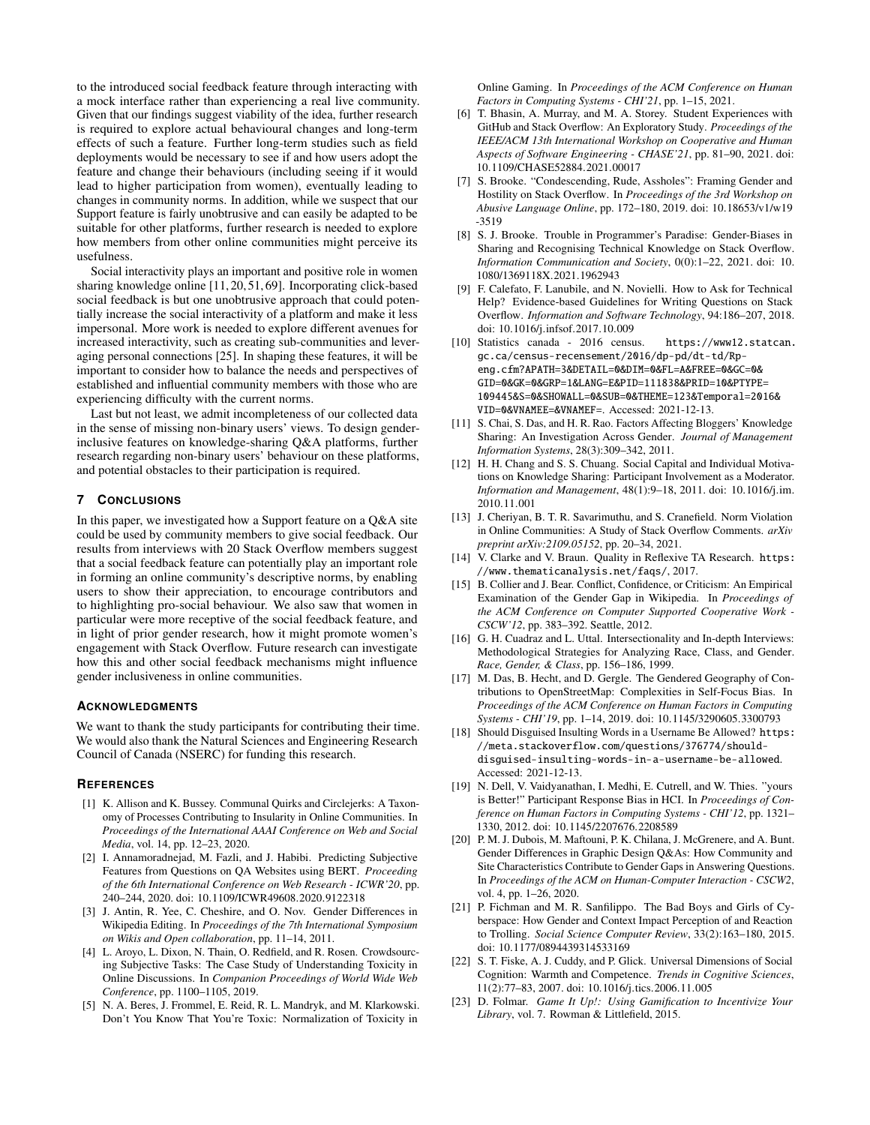to the introduced social feedback feature through interacting with a mock interface rather than experiencing a real live community. Given that our findings suggest viability of the idea, further research is required to explore actual behavioural changes and long-term effects of such a feature. Further long-term studies such as field deployments would be necessary to see if and how users adopt the feature and change their behaviours (including seeing if it would lead to higher participation from women), eventually leading to changes in community norms. In addition, while we suspect that our Support feature is fairly unobtrusive and can easily be adapted to be suitable for other platforms, further research is needed to explore how members from other online communities might perceive its usefulness.

Social interactivity plays an important and positive role in women sharing knowledge online [\[11,](#page-7-22) [20,](#page-7-0) [51,](#page-8-35) [69\]](#page-9-22). Incorporating click-based social feedback is but one unobtrusive approach that could potentially increase the social interactivity of a platform and make it less impersonal. More work is needed to explore different avenues for increased interactivity, such as creating sub-communities and leveraging personal connections [\[25\]](#page-8-1). In shaping these features, it will be important to consider how to balance the needs and perspectives of established and influential community members with those who are experiencing difficulty with the current norms.

Last but not least, we admit incompleteness of our collected data in the sense of missing non-binary users' views. To design genderinclusive features on knowledge-sharing Q&A platforms, further research regarding non-binary users' behaviour on these platforms, and potential obstacles to their participation is required.

# **7 CONCLUSIONS**

In this paper, we investigated how a Support feature on a Q&A site could be used by community members to give social feedback. Our results from interviews with 20 Stack Overflow members suggest that a social feedback feature can potentially play an important role in forming an online community's descriptive norms, by enabling users to show their appreciation, to encourage contributors and to highlighting pro-social behaviour. We also saw that women in particular were more receptive of the social feedback feature, and in light of prior gender research, how it might promote women's engagement with Stack Overflow. Future research can investigate how this and other social feedback mechanisms might influence gender inclusiveness in online communities.

#### **ACKNOWLEDGMENTS**

We want to thank the study participants for contributing their time. We would also thank the Natural Sciences and Engineering Research Council of Canada (NSERC) for funding this research.

#### **REFERENCES**

- <span id="page-7-4"></span>[1] K. Allison and K. Bussey. Communal Quirks and Circlejerks: A Taxonomy of Processes Contributing to Insularity in Online Communities. In *Proceedings of the International AAAI Conference on Web and Social Media*, vol. 14, pp. 12–23, 2020.
- <span id="page-7-12"></span>[2] I. Annamoradnejad, M. Fazli, and J. Habibi. Predicting Subjective Features from Questions on QA Websites using BERT. *Proceeding of the 6th International Conference on Web Research - ICWR'20*, pp. 240–244, 2020. doi: 10.1109/ICWR49608.2020.9122318
- <span id="page-7-5"></span>[3] J. Antin, R. Yee, C. Cheshire, and O. Nov. Gender Differences in Wikipedia Editing. In *Proceedings of the 7th International Symposium on Wikis and Open collaboration*, pp. 11–14, 2011.
- <span id="page-7-14"></span>[4] L. Aroyo, L. Dixon, N. Thain, O. Redfield, and R. Rosen. Crowdsourcing Subjective Tasks: The Case Study of Understanding Toxicity in Online Discussions. In *Companion Proceedings of World Wide Web Conference*, pp. 1100–1105, 2019.
- <span id="page-7-9"></span>[5] N. A. Beres, J. Frommel, E. Reid, R. L. Mandryk, and M. Klarkowski. Don't You Know That You're Toxic: Normalization of Toxicity in

Online Gaming. In *Proceedings of the ACM Conference on Human Factors in Computing Systems - CHI'21*, pp. 1–15, 2021.

- <span id="page-7-10"></span>[6] T. Bhasin, A. Murray, and M. A. Storey. Student Experiences with GitHub and Stack Overflow: An Exploratory Study. *Proceedings of the IEEE/ACM 13th International Workshop on Cooperative and Human Aspects of Software Engineering - CHASE'21*, pp. 81–90, 2021. doi: 10.1109/CHASE52884.2021.00017
- <span id="page-7-3"></span>[7] S. Brooke. "Condescending, Rude, Assholes": Framing Gender and Hostility on Stack Overflow. In *Proceedings of the 3rd Workshop on Abusive Language Online*, pp. 172–180, 2019. doi: 10.18653/v1/w19 -3519
- <span id="page-7-7"></span>[8] S. J. Brooke. Trouble in Programmer's Paradise: Gender-Biases in Sharing and Recognising Technical Knowledge on Stack Overflow. *Information Communication and Society*, 0(0):1–22, 2021. doi: 10. 1080/1369118X.2021.1962943
- <span id="page-7-11"></span>[9] F. Calefato, F. Lanubile, and N. Novielli. How to Ask for Technical Help? Evidence-based Guidelines for Writing Questions on Stack Overflow. *Information and Software Technology*, 94:186–207, 2018. doi: 10.1016/j.infsof.2017.10.009
- <span id="page-7-1"></span>[10] Statistics canada - 2016 census. [https://www12.statcan.](https://www12.statcan.gc.ca/census-recensement/2016/dp-pd/dt-td/Rp-eng.cfm?APATH=3&DETAIL=0&DIM=0&FL=A&FREE=0&GC=0&GID=0&GK=0&GRP=1&LANG=E&PID=111838&PRID=10&PTYPE=109445&S=0&SHOWALL=0&SUB=0&THEME=123&Temporal=2016&VID=0&VNAMEE=&VNAMEF=) [gc.ca/census-recensement/2016/dp-pd/dt-td/Rp](https://www12.statcan.gc.ca/census-recensement/2016/dp-pd/dt-td/Rp-eng.cfm?APATH=3&DETAIL=0&DIM=0&FL=A&FREE=0&GC=0&GID=0&GK=0&GRP=1&LANG=E&PID=111838&PRID=10&PTYPE=109445&S=0&SHOWALL=0&SUB=0&THEME=123&Temporal=2016&VID=0&VNAMEE=&VNAMEF=)[eng.cfm?APATH=3&DETAIL=0&DIM=0&FL=A&FREE=0&GC=0&](https://www12.statcan.gc.ca/census-recensement/2016/dp-pd/dt-td/Rp-eng.cfm?APATH=3&DETAIL=0&DIM=0&FL=A&FREE=0&GC=0&GID=0&GK=0&GRP=1&LANG=E&PID=111838&PRID=10&PTYPE=109445&S=0&SHOWALL=0&SUB=0&THEME=123&Temporal=2016&VID=0&VNAMEE=&VNAMEF=) [GID=0&GK=0&GRP=1&LANG=E&PID=111838&PRID=10&PTYPE=](https://www12.statcan.gc.ca/census-recensement/2016/dp-pd/dt-td/Rp-eng.cfm?APATH=3&DETAIL=0&DIM=0&FL=A&FREE=0&GC=0&GID=0&GK=0&GRP=1&LANG=E&PID=111838&PRID=10&PTYPE=109445&S=0&SHOWALL=0&SUB=0&THEME=123&Temporal=2016&VID=0&VNAMEE=&VNAMEF=) [109445&S=0&SHOWALL=0&SUB=0&THEME=123&Temporal=2016&](https://www12.statcan.gc.ca/census-recensement/2016/dp-pd/dt-td/Rp-eng.cfm?APATH=3&DETAIL=0&DIM=0&FL=A&FREE=0&GC=0&GID=0&GK=0&GRP=1&LANG=E&PID=111838&PRID=10&PTYPE=109445&S=0&SHOWALL=0&SUB=0&THEME=123&Temporal=2016&VID=0&VNAMEE=&VNAMEF=) [VID=0&VNAMEE=&VNAMEF=](https://www12.statcan.gc.ca/census-recensement/2016/dp-pd/dt-td/Rp-eng.cfm?APATH=3&DETAIL=0&DIM=0&FL=A&FREE=0&GC=0&GID=0&GK=0&GRP=1&LANG=E&PID=111838&PRID=10&PTYPE=109445&S=0&SHOWALL=0&SUB=0&THEME=123&Temporal=2016&VID=0&VNAMEE=&VNAMEF=). Accessed: 2021-12-13.
- <span id="page-7-22"></span>[11] S. Chai, S. Das, and H. R. Rao. Factors Affecting Bloggers' Knowledge Sharing: An Investigation Across Gender. *Journal of Management Information Systems*, 28(3):309–342, 2011.
- <span id="page-7-18"></span>[12] H. H. Chang and S. S. Chuang. Social Capital and Individual Motivations on Knowledge Sharing: Participant Involvement as a Moderator. *Information and Management*, 48(1):9–18, 2011. doi: 10.1016/j.im. 2010.11.001
- <span id="page-7-13"></span>[13] J. Cheriyan, B. T. R. Savarimuthu, and S. Cranefield. Norm Violation in Online Communities: A Study of Stack Overflow Comments. *arXiv preprint arXiv:2109.05152*, pp. 20–34, 2021.
- <span id="page-7-16"></span>[14] V. Clarke and V. Braun. Quality in Reflexive TA Research. [https:](https://www.thematicanalysis.net/faqs/) [//www.thematicanalysis.net/faqs/](https://www.thematicanalysis.net/faqs/), 2017.
- <span id="page-7-2"></span>[15] B. Collier and J. Bear. Conflict, Confidence, or Criticism: An Empirical Examination of the Gender Gap in Wikipedia. In *Proceedings of the ACM Conference on Computer Supported Cooperative Work - CSCW'12*, pp. 383–392. Seattle, 2012.
- <span id="page-7-15"></span>[16] G. H. Cuadraz and L. Uttal. Intersectionality and In-depth Interviews: Methodological Strategies for Analyzing Race, Class, and Gender. *Race, Gender, & Class*, pp. 156–186, 1999.
- <span id="page-7-6"></span>[17] M. Das, B. Hecht, and D. Gergle. The Gendered Geography of Contributions to OpenStreetMap: Complexities in Self-Focus Bias. In *Proceedings of the ACM Conference on Human Factors in Computing Systems - CHI'19*, pp. 1–14, 2019. doi: 10.1145/3290605.3300793
- <span id="page-7-17"></span>[18] Should Disguised Insulting Words in a Username Be Allowed? [https:](https://meta.stackoverflow.com/questions/376774/should-disguised-insulting-words-in-a-username-be-allowed) [//meta.stackoverflow.com/questions/376774/should](https://meta.stackoverflow.com/questions/376774/should-disguised-insulting-words-in-a-username-be-allowed)[disguised-insulting-words-in-a-username-be-allowed](https://meta.stackoverflow.com/questions/376774/should-disguised-insulting-words-in-a-username-be-allowed). Accessed: 2021-12-13.
- <span id="page-7-20"></span>[19] N. Dell, V. Vaidyanathan, I. Medhi, E. Cutrell, and W. Thies. "yours is Better!" Participant Response Bias in HCI. In *Proceedings of Conference on Human Factors in Computing Systems - CHI'12*, pp. 1321– 1330, 2012. doi: 10.1145/2207676.2208589
- <span id="page-7-0"></span>[20] P. M. J. Dubois, M. Maftouni, P. K. Chilana, J. McGrenere, and A. Bunt. Gender Differences in Graphic Design Q&As: How Community and Site Characteristics Contribute to Gender Gaps in Answering Questions. In *Proceedings of the ACM on Human-Computer Interaction - CSCW2*, vol. 4, pp. 1–26, 2020.
- <span id="page-7-8"></span>[21] P. Fichman and M. R. Sanfilippo. The Bad Boys and Girls of Cyberspace: How Gender and Context Impact Perception of and Reaction to Trolling. *Social Science Computer Review*, 33(2):163–180, 2015. doi: 10.1177/0894439314533169
- <span id="page-7-19"></span>[22] S. T. Fiske, A. J. Cuddy, and P. Glick. Universal Dimensions of Social Cognition: Warmth and Competence. *Trends in Cognitive Sciences*, 11(2):77–83, 2007. doi: 10.1016/j.tics.2006.11.005
- <span id="page-7-21"></span>[23] D. Folmar. *Game It Up!: Using Gamification to Incentivize Your Library*, vol. 7. Rowman & Littlefield, 2015.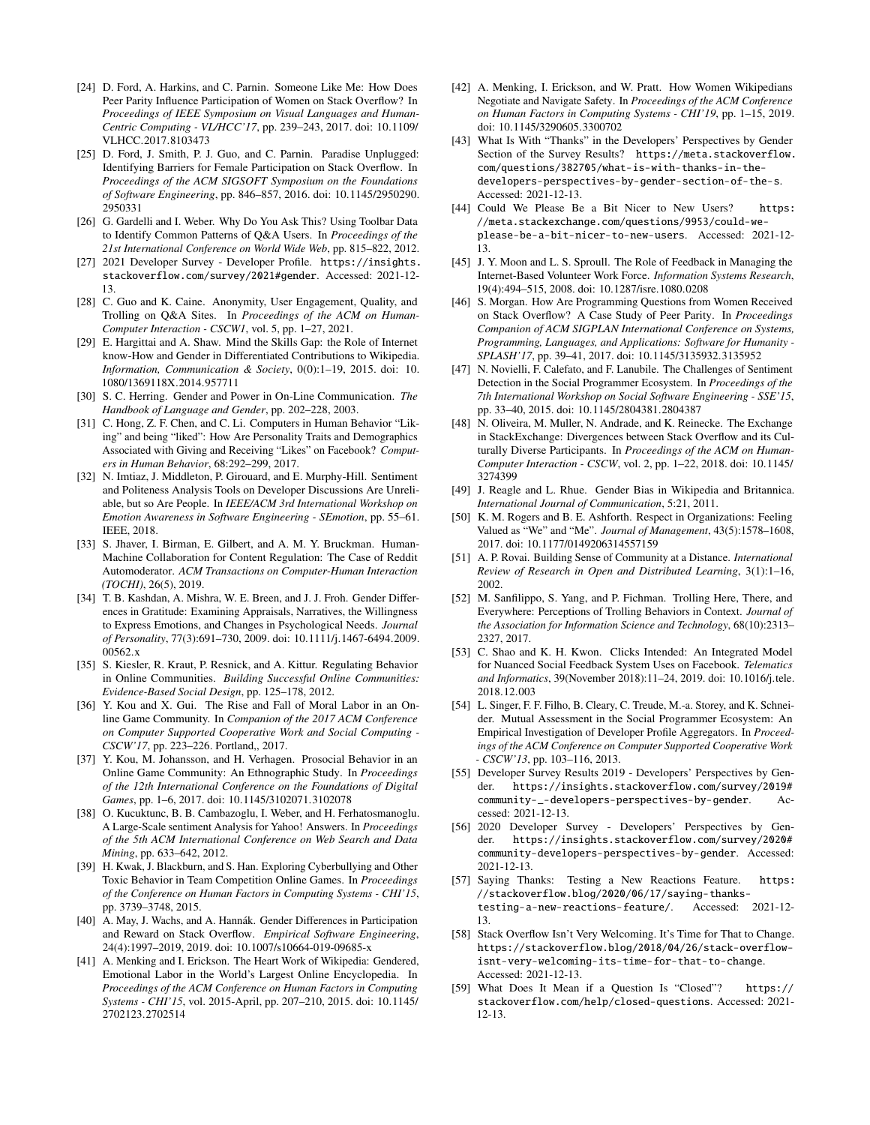- <span id="page-8-12"></span>[24] D. Ford, A. Harkins, and C. Parnin. Someone Like Me: How Does Peer Parity Influence Participation of Women on Stack Overflow? In *Proceedings of IEEE Symposium on Visual Languages and Human-Centric Computing - VL/HCC'17*, pp. 239–243, 2017. doi: 10.1109/ VLHCC.2017.8103473
- <span id="page-8-1"></span>[25] D. Ford, J. Smith, P. J. Guo, and C. Parnin. Paradise Unplugged: Identifying Barriers for Female Participation on Stack Overflow. In *Proceedings of the ACM SIGSOFT Symposium on the Foundations of Software Engineering*, pp. 846–857, 2016. doi: 10.1145/2950290. 2950331
- <span id="page-8-15"></span>[26] G. Gardelli and I. Weber. Why Do You Ask This? Using Toolbar Data to Identify Common Patterns of Q&A Users. In *Proceedings of the 21st International Conference on World Wide Web*, pp. 815–822, 2012.
- <span id="page-8-2"></span>[27] 2021 Developer Survey - Developer Profile. [https://insights.](https://insights.stackoverflow.com/survey/2021#gender) [stackoverflow.com/survey/2021#gender](https://insights.stackoverflow.com/survey/2021#gender). Accessed: 2021-12- 13.
- <span id="page-8-24"></span>[28] C. Guo and K. Caine. Anonymity, User Engagement, Quality, and Trolling on Q&A Sites. In *Proceedings of the ACM on Human-Computer Interaction - CSCW1*, vol. 5, pp. 1–27, 2021.
- <span id="page-8-8"></span>[29] E. Hargittai and A. Shaw. Mind the Skills Gap: the Role of Internet know-How and Gender in Differentiated Contributions to Wikipedia. *Information, Communication & Society*, 0(0):1–19, 2015. doi: 10. 1080/1369118X.2014.957711
- <span id="page-8-16"></span>[30] S. C. Herring. Gender and Power in On-Line Communication. *The Handbook of Language and Gender*, pp. 202–228, 2003.
- <span id="page-8-21"></span>[31] C. Hong, Z. F. Chen, and C. Li. Computers in Human Behavior "Liking" and being "liked": How Are Personality Traits and Demographics Associated with Giving and Receiving "Likes" on Facebook? *Computers in Human Behavior*, 68:292–299, 2017.
- <span id="page-8-28"></span>[32] N. Imtiaz, J. Middleton, P. Girouard, and E. Murphy-Hill. Sentiment and Politeness Analysis Tools on Developer Discussions Are Unreliable, but so Are People. In *IEEE/ACM 3rd International Workshop on Emotion Awareness in Software Engineering - SEmotion*, pp. 55–61. IEEE, 2018.
- <span id="page-8-27"></span>[33] S. Jhaver, I. Birman, E. Gilbert, and A. M. Y. Bruckman. Human-Machine Collaboration for Content Regulation: The Case of Reddit Automoderator. *ACM Transactions on Computer-Human Interaction (TOCHI)*, 26(5), 2019.
- <span id="page-8-32"></span>[34] T. B. Kashdan, A. Mishra, W. E. Breen, and J. J. Froh. Gender Differences in Gratitude: Examining Appraisals, Narratives, the Willingness to Express Emotions, and Changes in Psychological Needs. *Journal of Personality*, 77(3):691–730, 2009. doi: 10.1111/j.1467-6494.2009. 00562.x
- <span id="page-8-4"></span>[35] S. Kiesler, R. Kraut, P. Resnick, and A. Kittur. Regulating Behavior in Online Communities. *Building Successful Online Communities: Evidence-Based Social Design*, pp. 125–178, 2012.
- <span id="page-8-30"></span>[36] Y. Kou and X. Gui. The Rise and Fall of Moral Labor in an Online Game Community. In *Companion of the 2017 ACM Conference on Computer Supported Cooperative Work and Social Computing - CSCW'17*, pp. 223–226. Portland,, 2017.
- <span id="page-8-31"></span>[37] Y. Kou, M. Johansson, and H. Verhagen. Prosocial Behavior in an Online Game Community: An Ethnographic Study. In *Proceedings of the 12th International Conference on the Foundations of Digital Games*, pp. 1–6, 2017. doi: 10.1145/3102071.3102078
- <span id="page-8-9"></span>[38] O. Kucuktunc, B. B. Cambazoglu, I. Weber, and H. Ferhatosmanoglu. A Large-Scale sentiment Analysis for Yahoo! Answers. In *Proceedings of the 5th ACM International Conference on Web Search and Data Mining*, pp. 633–642, 2012.
- <span id="page-8-25"></span>[39] H. Kwak, J. Blackburn, and S. Han. Exploring Cyberbullying and Other Toxic Behavior in Team Competition Online Games. In *Proceedings of the Conference on Human Factors in Computing Systems - CHI'15*, pp. 3739–3748, 2015.
- <span id="page-8-6"></span>[40] A. May, J. Wachs, and A. Hannák. Gender Differences in Participation and Reward on Stack Overflow. *Empirical Software Engineering*, 24(4):1997–2019, 2019. doi: 10.1007/s10664-019-09685-x
- <span id="page-8-10"></span>[41] A. Menking and I. Erickson. The Heart Work of Wikipedia: Gendered, Emotional Labor in the World's Largest Online Encyclopedia. In *Proceedings of the ACM Conference on Human Factors in Computing Systems - CHI'15*, vol. 2015-April, pp. 207–210, 2015. doi: 10.1145/ 2702123.2702514
- <span id="page-8-11"></span>[42] A. Menking, I. Erickson, and W. Pratt. How Women Wikipedians Negotiate and Navigate Safety. In *Proceedings of the ACM Conference on Human Factors in Computing Systems - CHI'19*, pp. 1–15, 2019. doi: 10.1145/3290605.3300702
- <span id="page-8-18"></span>[43] What Is With "Thanks" in the Developers' Perspectives by Gender Section of the Survey Results? [https://meta.stackoverflow.](https://meta.stackoverflow.com/questions/382705/what-is-with-thanks-in-the-developers-perspectives-by-gender-section-of-the-s) [com/questions/382705/what-is-with-thanks-in-the](https://meta.stackoverflow.com/questions/382705/what-is-with-thanks-in-the-developers-perspectives-by-gender-section-of-the-s)[developers-perspectives-by-gender-section-of-the-s](https://meta.stackoverflow.com/questions/382705/what-is-with-thanks-in-the-developers-perspectives-by-gender-section-of-the-s). Accessed: 2021-12-13.
- <span id="page-8-26"></span>[44] Could We Please Be a Bit Nicer to New Users? [https:](https://meta.stackexchange.com/questions/9953/could-we-please-be-a-bit-nicer-to-new-users) [//meta.stackexchange.com/questions/9953/could-we](https://meta.stackexchange.com/questions/9953/could-we-please-be-a-bit-nicer-to-new-users)[please-be-a-bit-nicer-to-new-users](https://meta.stackexchange.com/questions/9953/could-we-please-be-a-bit-nicer-to-new-users). Accessed: 2021-12- 13.
- <span id="page-8-5"></span>[45] J. Y. Moon and L. S. Sproull. The Role of Feedback in Managing the Internet-Based Volunteer Work Force. *Information Systems Research*, 19(4):494–515, 2008. doi: 10.1287/isre.1080.0208
- <span id="page-8-13"></span>[46] S. Morgan. How Are Programming Questions from Women Received on Stack Overflow? A Case Study of Peer Parity. In *Proceedings Companion of ACM SIGPLAN International Conference on Systems, Programming, Languages, and Applications: Software for Humanity - SPLASH'17*, pp. 39–41, 2017. doi: 10.1145/3135932.3135952
- <span id="page-8-29"></span>[47] N. Novielli, F. Calefato, and F. Lanubile. The Challenges of Sentiment Detection in the Social Programmer Ecosystem. In *Proceedings of the 7th International Workshop on Social Software Engineering - SSE'15*, pp. 33–40, 2015. doi: 10.1145/2804381.2804387
- <span id="page-8-17"></span>[48] N. Oliveira, M. Muller, N. Andrade, and K. Reinecke. The Exchange in StackExchange: Divergences between Stack Overflow and its Culturally Diverse Participants. In *Proceedings of the ACM on Human-Computer Interaction - CSCW*, vol. 2, pp. 1–22, 2018. doi: 10.1145/ 3274399
- <span id="page-8-7"></span>[49] J. Reagle and L. Rhue. Gender Bias in Wikipedia and Britannica. *International Journal of Communication*, 5:21, 2011.
- <span id="page-8-34"></span>[50] K. M. Rogers and B. E. Ashforth. Respect in Organizations: Feeling Valued as "We" and "Me". *Journal of Management*, 43(5):1578–1608, 2017. doi: 10.1177/0149206314557159
- <span id="page-8-35"></span>[51] A. P. Rovai. Building Sense of Community at a Distance. *International Review of Research in Open and Distributed Learning*, 3(1):1–16, 2002.
- <span id="page-8-23"></span>[52] M. Sanfilippo, S. Yang, and P. Fichman. Trolling Here, There, and Everywhere: Perceptions of Trolling Behaviors in Context. *Journal of the Association for Information Science and Technology*, 68(10):2313– 2327, 2017.
- <span id="page-8-22"></span>[53] C. Shao and K. H. Kwon. Clicks Intended: An Integrated Model for Nuanced Social Feedback System Uses on Facebook. *Telematics and Informatics*, 39(November 2018):11–24, 2019. doi: 10.1016/j.tele. 2018.12.003
- <span id="page-8-0"></span>[54] L. Singer, F. F. Filho, B. Cleary, C. Treude, M.-a. Storey, and K. Schneider. Mutual Assessment in the Social Programmer Ecosystem: An Empirical Investigation of Developer Profile Aggregators. In *Proceedings of the ACM Conference on Computer Supported Cooperative Work - CSCW'13*, pp. 103–116, 2013.
- <span id="page-8-19"></span>[55] Developer Survey Results 2019 - Developers' Perspectives by Gender. [https://insights.stackoverflow.com/survey/2019#](https://insights.stackoverflow.com/survey/2019#community-_-developers-perspectives-by-gender) [community-\\_-developers-perspectives-by-gender](https://insights.stackoverflow.com/survey/2019#community-_-developers-perspectives-by-gender). Accessed: 2021-12-13.
- <span id="page-8-20"></span>[56] 2020 Developer Survey - Developers' Perspectives by Gender. [https://insights.stackoverflow.com/survey/2020#](https://insights.stackoverflow.com/survey/2020#community-developers-perspectives-by-gender) [community-developers-perspectives-by-gender](https://insights.stackoverflow.com/survey/2020#community-developers-perspectives-by-gender). Accessed: 2021-12-13.
- <span id="page-8-33"></span>[57] Saying Thanks: Testing a New Reactions Feature. [https:](https://stackoverflow.blog/2020/06/17/saying-thanks-testing-a-new-reactions-feature/) [//stackoverflow.blog/2020/06/17/saying-thanks](https://stackoverflow.blog/2020/06/17/saying-thanks-testing-a-new-reactions-feature/)[testing-a-new-reactions-feature/](https://stackoverflow.blog/2020/06/17/saying-thanks-testing-a-new-reactions-feature/). Accessed: 2021-12- 13.
- <span id="page-8-3"></span>[58] Stack Overflow Isn't Very Welcoming. It's Time for That to Change. [https://stackoverflow.blog/2018/04/26/stack-overflow](https://stackoverflow.blog/2018/04/26/stack-overflow-isnt-very-welcoming-its-time-for-that-to-change)[isnt-very-welcoming-its-time-for-that-to-change](https://stackoverflow.blog/2018/04/26/stack-overflow-isnt-very-welcoming-its-time-for-that-to-change). Accessed: 2021-12-13.
- <span id="page-8-14"></span>[59] What Does It Mean if a Question Is "Closed"? [https://](https://stackoverflow.com/help/closed-questions) [stackoverflow.com/help/closed-questions](https://stackoverflow.com/help/closed-questions). Accessed: 2021- 12-13.